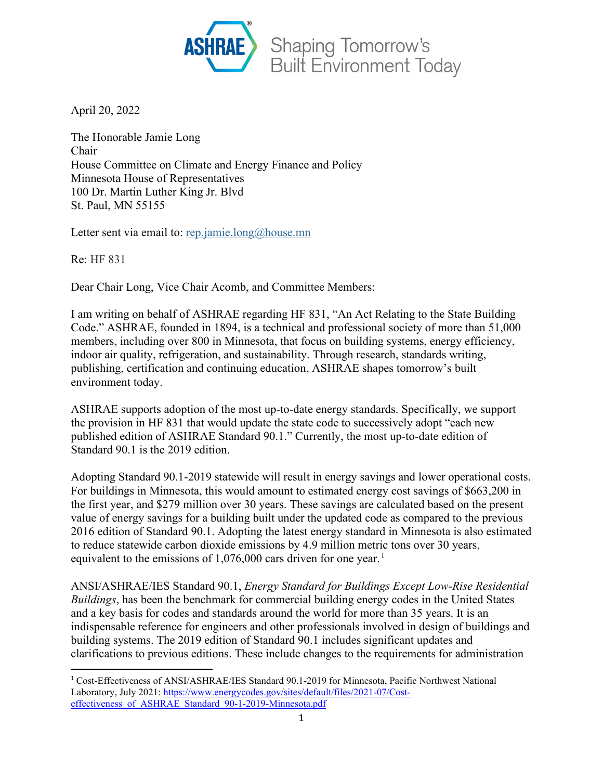

April 20, 2022

The Honorable Jamie Long Chair House Committee on Climate and Energy Finance and Policy Minnesota House of Representatives 100 Dr. Martin Luther King Jr. Blvd St. Paul, MN 55155

Letter sent via email to: [rep.jamie.long@house.mn](mailto:rep.jamie.long@house.mn)

Re: HF 831

Dear Chair Long, Vice Chair Acomb, and Committee Members:

I am writing on behalf of ASHRAE regarding HF 831, "An Act Relating to the State Building Code." ASHRAE, founded in 1894, is a technical and professional society of more than 51,000 members, including over 800 in Minnesota, that focus on building systems, energy efficiency, indoor air quality, refrigeration, and sustainability. Through research, standards writing, publishing, certification and continuing education, ASHRAE shapes tomorrow's built environment today.

ASHRAE supports adoption of the most up-to-date energy standards. Specifically, we support the provision in HF 831 that would update the state code to successively adopt "each new published edition of ASHRAE Standard 90.1." Currently, the most up-to-date edition of Standard 90.1 is the 2019 edition.

Adopting Standard 90.1-2019 statewide will result in energy savings and lower operational costs. For buildings in Minnesota, this would amount to estimated energy cost savings of \$663,200 in the first year, and \$279 million over 30 years. These savings are calculated based on the present value of energy savings for a building built under the updated code as compared to the previous 2016 edition of Standard 90.1. Adopting the latest energy standard in Minnesota is also estimated to reduce statewide carbon dioxide emissions by 4.9 million metric tons over 30 years, equivalent to the emissions of  $1,076,000$  $1,076,000$  cars driven for one year.<sup>1</sup>

ANSI/ASHRAE/IES Standard 90.1, *Energy Standard for Buildings Except Low-Rise Residential Buildings*, has been the benchmark for commercial building energy codes in the United States and a key basis for codes and standards around the world for more than 35 years. It is an indispensable reference for engineers and other professionals involved in design of buildings and building systems. The 2019 edition of Standard 90.1 includes significant updates and clarifications to previous editions. These include changes to the requirements for administration

<span id="page-0-0"></span><sup>1</sup> Cost-Effectiveness of ANSI/ASHRAE/IES Standard 90.1-2019 for Minnesota, Pacific Northwest National Laboratory, July 2021: [https://www.energycodes.gov/sites/default/files/2021-07/Cost](https://www.energycodes.gov/sites/default/files/2021-07/Cost-effectiveness_of_ASHRAE_Standard_90-1-2019-Minnesota.pdf)effectiveness of ASHRAE Standard 90-1-2019-Minnesota.pdf